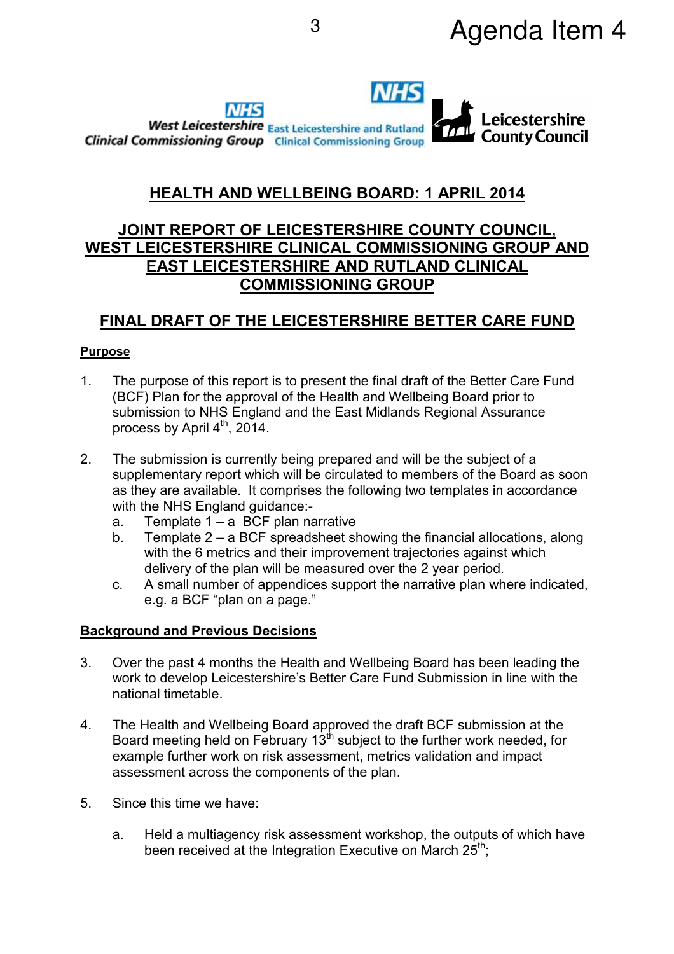

# **HEALTH AND WELLBEING BOARD: 1 APRIL 2014**

## **JOINT REPORT OF LEICESTERSHIRE COUNTY COUNCIL, WEST LEICESTERSHIRE CLINICAL COMMISSIONING GROUP AND EAST LEICESTERSHIRE AND RUTLAND CLINICAL COMMISSIONING GROUP**

## **FINAL DRAFT OF THE LEICESTERSHIRE BETTER CARE FUND**

#### **Purpose**

- 1. The purpose of this report is to present the final draft of the Better Care Fund (BCF) Plan for the approval of the Health and Wellbeing Board prior to submission to NHS England and the East Midlands Regional Assurance process by April  $4^{\text{th}}$ , 2014.
- 2. The submission is currently being prepared and will be the subject of a supplementary report which will be circulated to members of the Board as soon as they are available. It comprises the following two templates in accordance with the NHS England guidance:
	- a. Template  $1 a$  BCF plan narrative
	- b. Template 2 a BCF spreadsheet showing the financial allocations, along with the 6 metrics and their improvement trajectories against which delivery of the plan will be measured over the 2 year period.
	- c. A small number of appendices support the narrative plan where indicated, e.g. a BCF "plan on a page."

### **Background and Previous Decisions**

- 3. Over the past 4 months the Health and Wellbeing Board has been leading the work to develop Leicestershire's Better Care Fund Submission in line with the national timetable.
- 4. The Health and Wellbeing Board approved the draft BCF submission at the Board meeting held on February 13<sup>th</sup> subject to the further work needed, for example further work on risk assessment, metrics validation and impact assessment across the components of the plan.
- 5. Since this time we have:
	- a. Held a multiagency risk assessment workshop, the outputs of which have been received at the Integration Executive on March 25<sup>th</sup>;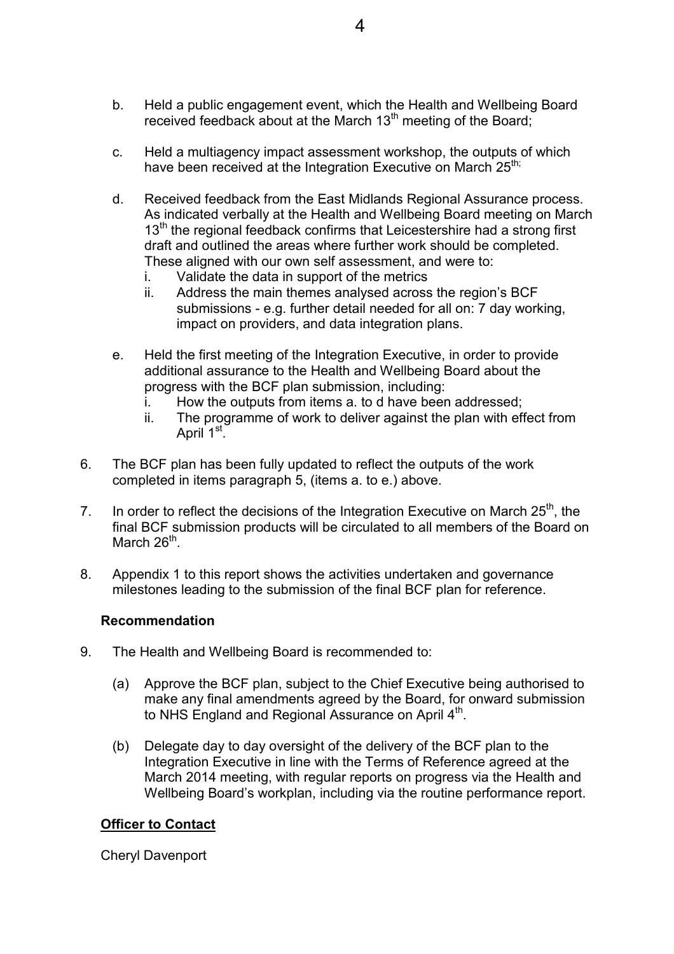- b. Held a public engagement event, which the Health and Wellbeing Board received feedback about at the March 13<sup>th</sup> meeting of the Board;
- c. Held a multiagency impact assessment workshop, the outputs of which have been received at the Integration Executive on March 25<sup>th;</sup>
- d. Received feedback from the East Midlands Regional Assurance process. As indicated verbally at the Health and Wellbeing Board meeting on March  $13<sup>th</sup>$  the regional feedback confirms that Leicestershire had a strong first draft and outlined the areas where further work should be completed. These aligned with our own self assessment, and were to:
	- i. Validate the data in support of the metrics
	- ii. Address the main themes analysed across the region's BCF submissions - e.g. further detail needed for all on: 7 day working, impact on providers, and data integration plans.
- e. Held the first meeting of the Integration Executive, in order to provide additional assurance to the Health and Wellbeing Board about the progress with the BCF plan submission, including:
	- i. How the outputs from items a. to d have been addressed;
	- ii. The programme of work to deliver against the plan with effect from April 1<sup>st</sup>.
- 6. The BCF plan has been fully updated to reflect the outputs of the work completed in items paragraph 5, (items a. to e.) above.
- 7. In order to reflect the decisions of the Integration Executive on March  $25<sup>th</sup>$ , the final BCF submission products will be circulated to all members of the Board on March 26<sup>th</sup>.
- 8. Appendix 1 to this report shows the activities undertaken and governance milestones leading to the submission of the final BCF plan for reference.

#### **Recommendation**

- 9. The Health and Wellbeing Board is recommended to:
	- (a) Approve the BCF plan, subject to the Chief Executive being authorised to make any final amendments agreed by the Board, for onward submission to NHS England and Regional Assurance on April  $4^{\text{th}}$ .
	- (b) Delegate day to day oversight of the delivery of the BCF plan to the Integration Executive in line with the Terms of Reference agreed at the March 2014 meeting, with regular reports on progress via the Health and Wellbeing Board's workplan, including via the routine performance report.

#### **Officer to Contact**

Cheryl Davenport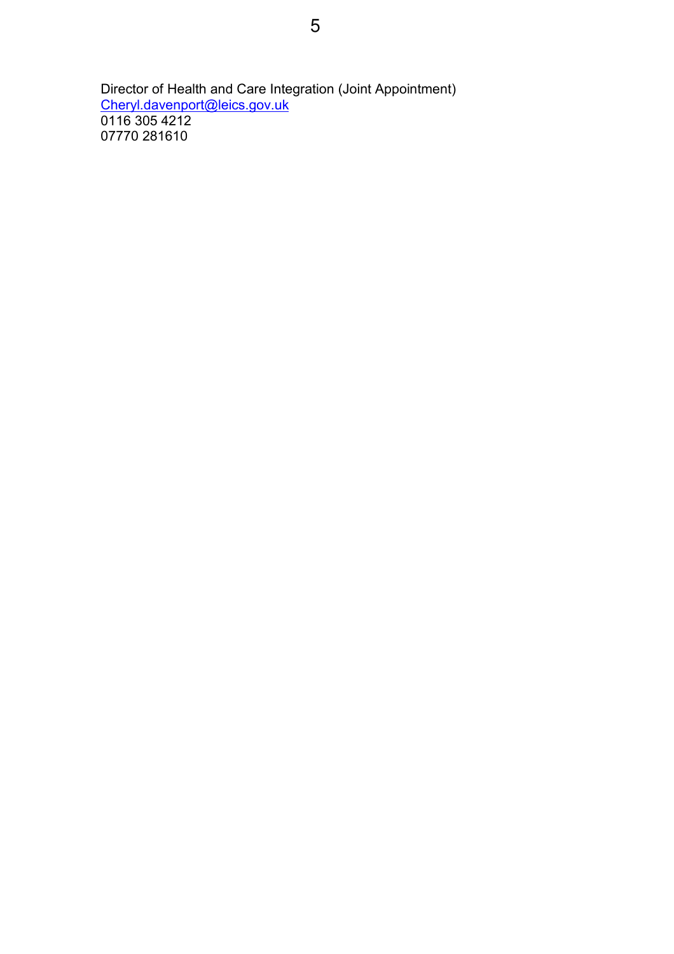Director of Health and Care Integration (Joint Appointment) Cheryl.davenport@leics.gov.uk 0116 305 4212 07770 281610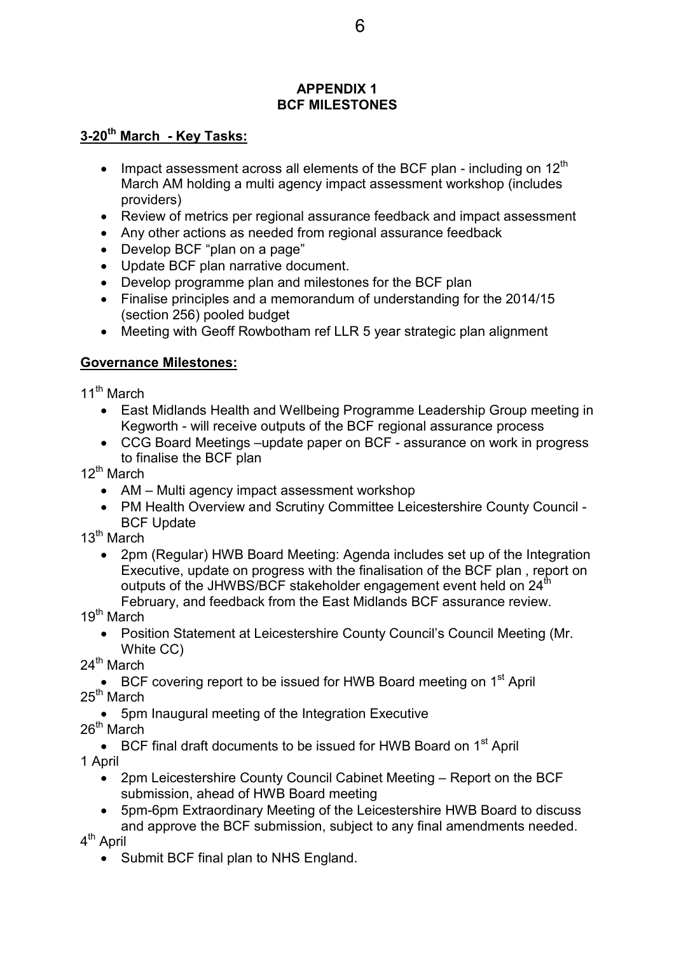#### **APPENDIX 1 BCF MILESTONES**

### **3-20th March - Key Tasks:**

- Impact assessment across all elements of the BCF plan including on  $12<sup>th</sup>$ March AM holding a multi agency impact assessment workshop (includes providers)
- Review of metrics per regional assurance feedback and impact assessment
- Any other actions as needed from regional assurance feedback
- Develop BCF "plan on a page"
- Update BCF plan narrative document.
- Develop programme plan and milestones for the BCF plan
- Finalise principles and a memorandum of understanding for the 2014/15 (section 256) pooled budget
- Meeting with Geoff Rowbotham ref LLR 5 year strategic plan alignment

## **Governance Milestones:**

11<sup>th</sup> March

- East Midlands Health and Wellbeing Programme Leadership Group meeting in Kegworth - will receive outputs of the BCF regional assurance process
- CCG Board Meetings –update paper on BCF assurance on work in progress to finalise the BCF plan

12<sup>th</sup> March

- AM Multi agency impact assessment workshop
- PM Health Overview and Scrutiny Committee Leicestershire County Council BCF Update

 $13^{\text{th}}$  March

• 2pm (Regular) HWB Board Meeting: Agenda includes set up of the Integration Executive, update on progress with the finalisation of the BCF plan , report on outputs of the JHWBS/BCF stakeholder engagement event held on 24<sup>th</sup>

February, and feedback from the East Midlands BCF assurance review. 19<sup>th</sup> March

• Position Statement at Leicestershire County Council's Council Meeting (Mr. White CC)

24<sup>th</sup> March

• BCF covering report to be issued for HWB Board meeting on  $1<sup>st</sup>$  April  $25<sup>th</sup>$  March

• 5pm Inaugural meeting of the Integration Executive

26<sup>th</sup> March

• BCF final draft documents to be issued for HWB Board on 1<sup>st</sup> April 1 April

- 2pm Leicestershire County Council Cabinet Meeting Report on the BCF submission, ahead of HWB Board meeting
- 5pm-6pm Extraordinary Meeting of the Leicestershire HWB Board to discuss and approve the BCF submission, subject to any final amendments needed.

4<sup>th</sup> April

• Submit BCF final plan to NHS England.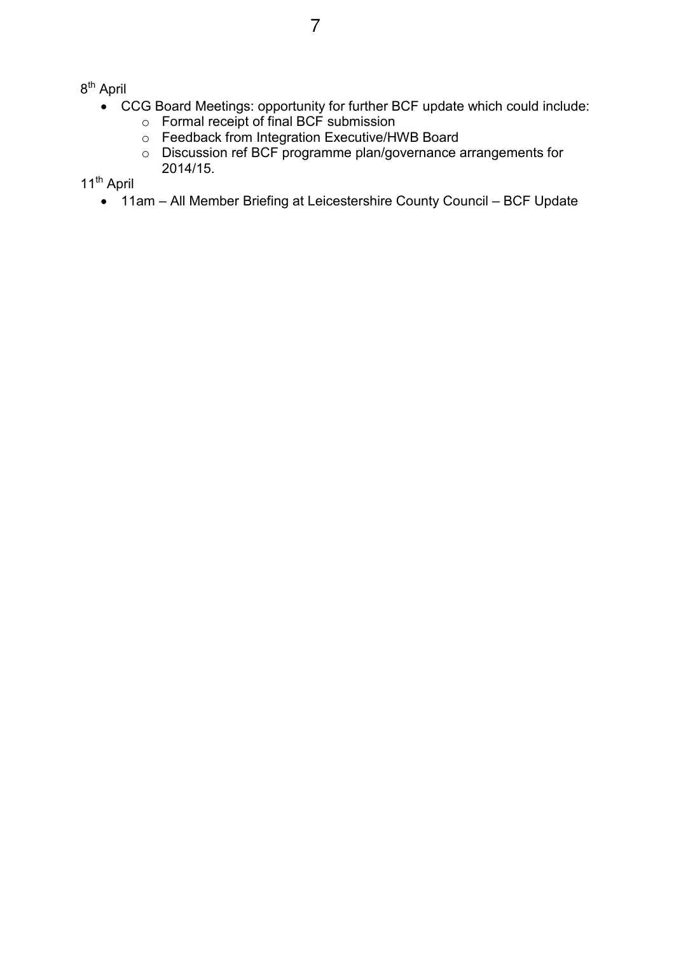8<sup>th</sup> April

- CCG Board Meetings: opportunity for further BCF update which could include:
	- $\circ$  Formal receipt of final BCF submission
	- o Feedback from Integration Executive/HWB Board
	- o Discussion ref BCF programme plan/governance arrangements for 2014/15.

11<sup>th</sup> April

• 11am – All Member Briefing at Leicestershire County Council – BCF Update